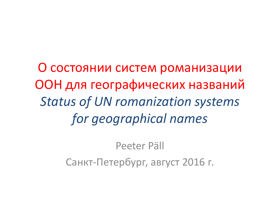О состоянии систем романизации ООН для географических названий *Status of UN romanization systems for geographical names*

> Peeter PällСанкт-Петербург, август 2016 г.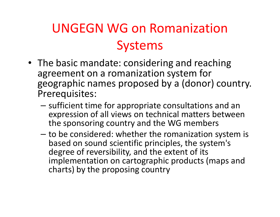### UNGEGN WG on RomanizationSystems

- The basic mandate: considering and reaching agreement on a romanization system for geographic names proposed by a (donor) country.Prerequisites:
	- sufficient time for appropriate consultations and an expression of all views on technical matters between the sponsoring country and the WG members
	- –to be considered: whether the romanization system is<br>has ad an equipted scientific principles, the system's based on sound scientific principles, the system's degree of reversibility, and the extent of its implementation on cartographic products (maps and charts) by the proposing country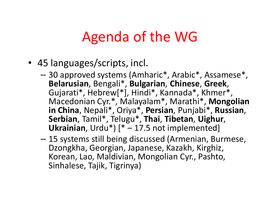### Agenda of the WG

- 45 languages/scripts, incl.
	- 30 approved systems (Amharic\*, Arabic\*, Assamese\*,<br>Relaxurian Bengeli\*, Bulgarian Chinaea, Greek **Belarusian**, Bengali\*, **Bulgarian**, **Chinese**, **Greek**, Gujarati\*, Hebrew[\*], Hindi\*, Kannada\*, Khmer\*, Macedonian Cyr.\*, Malayalam\*, Marathi\*, **Mongolian in China**, Nepali\*, Oriya\*, **Persian**, Punjabi\*, **Russian**, **Serbian**, Tamil\*, Telugu\*, **Thai**, **Tibetan**, **Uighur**, **Ukrainian**, Urdu\*) [\* – 17.5 not implemented]
	- 15 systems still being discussed (Armenian, Burmese, Dzongkha, Georgian, Japanese, Kazakh, Kirghiz, Korean, Lao, Maldivian, Mongolian Cyr., Pashto, Sinhalese, Tajik, Tigrinya)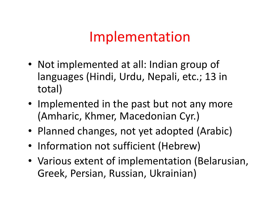#### Implementation

- Not implemented at all: Indian group of languages (Hindi, Urdu, Nepali, etc.; 13 intotal)
- Implemented in the past but not any more (Amharic, Khmer, Macedonian Cyr.)
- Planned changes, not yet adopted (Arabic)
- Information not sufficient (Hebrew)
- Various extent of implementation (Belarusian, Greek, Persian, Russian, Ukrainian)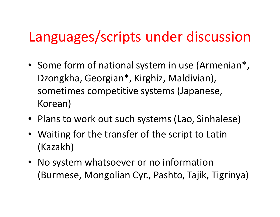### Languages/scripts under discussion

- Some form of national system in use (Armenian\*, Dzongkha, Georgian\*, Kirghiz, Maldivian), sometimes competitive systems (Japanese, Korean)
- Plans to work out such systems (Lao, Sinhalese)
- Waiting for the transfer of the script to Latin(Kazakh)
- No system whatsoever or no information(Burmese, Mongolian Cyr., Pashto, Tajik, Tigrinya)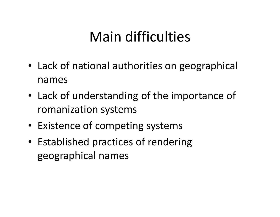# Main difficulties

- Lack of national authorities on geographical names
- Lack of understanding of the importance of romanization systems
- Existence of competing systems
- Established practices of rendering geographical names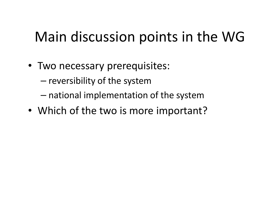# Main discussion points in the WG

- Two necessary prerequisites:
	- and the state of the state  $-$  reversibility of the system
	- – $-$  national implementation of the system
- Which of the two is more important?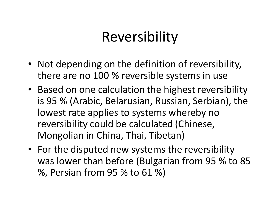# Reversibility

- Not depending on the definition of reversibility, there are no 100 % reversible systems in use
- Based on one calculation the highest reversibility is 95 % (Arabic, Belarusian, Russian, Serbian), the lowest rate applies to systems whereby no reversibility could be calculated (Chinese, Mongolian in China, Thai, Tibetan)
- For the disputed new systems the reversibility was lower than before (Bulgarian from 95 % to <sup>85</sup> %, Persian from 95 % to 61 %)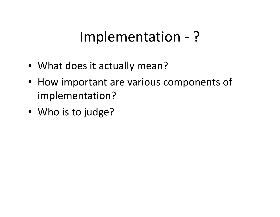### Implementation - ?

- What does it actually mean?
- How important are various components of implementation?
- Who is to judge?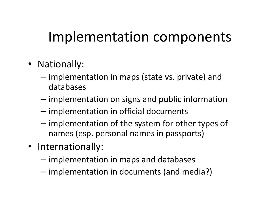# Implementation components

- Nationally:
	- implementation in maps (state vs. private) and databases
	- $-$  implementation on signs and public information
	- $-$  implementation in official documents
	- –- implementation of the system for other types of names (esp. personal names in passports)
- Internationally:
	- – $-$  implementation in maps and databases
	- – $-$  implementation in documents (and media?)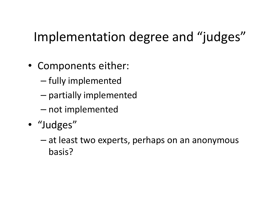#### Implementation degree and "judges"

- Components either:
	- and the state of the state  $-$  fully implemented  $\,$
	- – $-$  partially implemented
	- and the state of the state  $-$  not implemented
- "Judges"
	- and the state of the state at least two experts, perhaps on an anonymous basis?